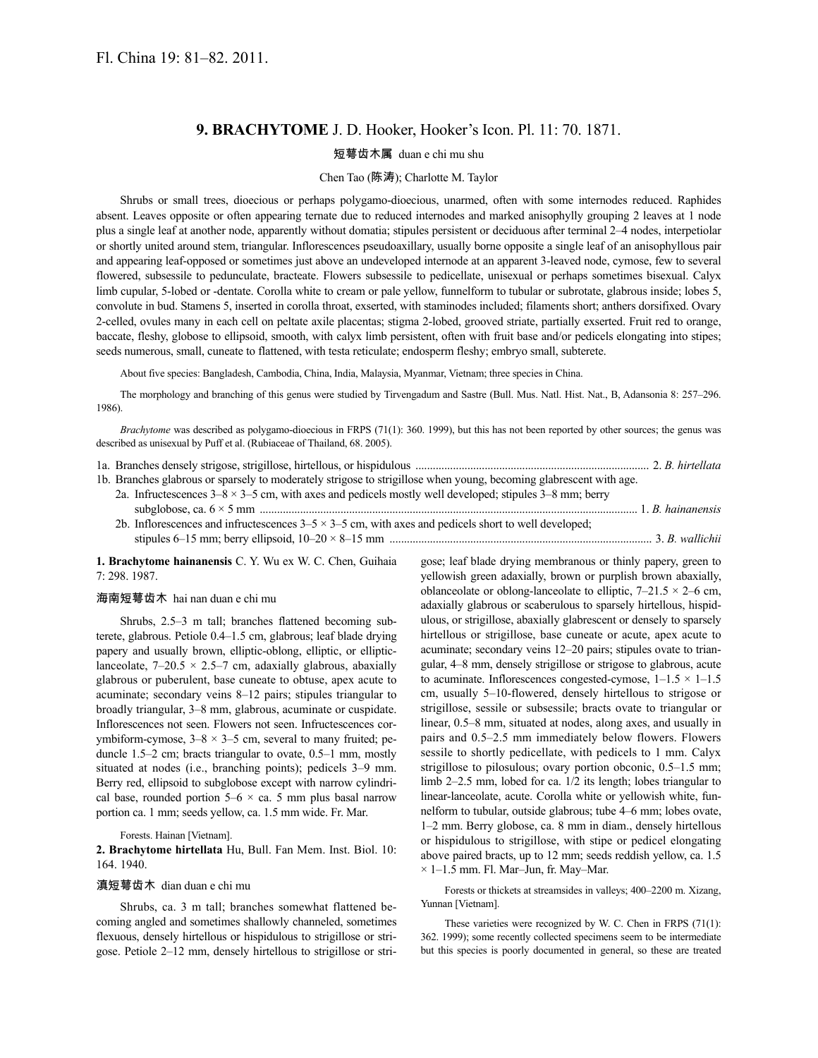# **9. BRACHYTOME** J. D. Hooker, Hooker's Icon. Pl. 11: 70. 1871.

### 短萼齿木属 duan e chi mu shu

### Chen Tao (陈涛); Charlotte M. Taylor

Shrubs or small trees, dioecious or perhaps polygamo-dioecious, unarmed, often with some internodes reduced. Raphides absent. Leaves opposite or often appearing ternate due to reduced internodes and marked anisophylly grouping 2 leaves at 1 node plus a single leaf at another node, apparently without domatia; stipules persistent or deciduous after terminal 2–4 nodes, interpetiolar or shortly united around stem, triangular. Inflorescences pseudoaxillary, usually borne opposite a single leaf of an anisophyllous pair and appearing leaf-opposed or sometimes just above an undeveloped internode at an apparent 3-leaved node, cymose, few to several flowered, subsessile to pedunculate, bracteate. Flowers subsessile to pedicellate, unisexual or perhaps sometimes bisexual. Calyx limb cupular, 5-lobed or -dentate. Corolla white to cream or pale yellow, funnelform to tubular or subrotate, glabrous inside; lobes 5, convolute in bud. Stamens 5, inserted in corolla throat, exserted, with staminodes included; filaments short; anthers dorsifixed. Ovary 2-celled, ovules many in each cell on peltate axile placentas; stigma 2-lobed, grooved striate, partially exserted. Fruit red to orange, baccate, fleshy, globose to ellipsoid, smooth, with calyx limb persistent, often with fruit base and/or pedicels elongating into stipes; seeds numerous, small, cuneate to flattened, with testa reticulate; endosperm fleshy; embryo small, subterete.

About five species: Bangladesh, Cambodia, China, India, Malaysia, Myanmar, Vietnam; three species in China.

The morphology and branching of this genus were studied by Tirvengadum and Sastre (Bull. Mus. Natl. Hist. Nat., B, Adansonia 8: 257–296. 1986).

*Brachytome* was described as polygamo-dioecious in FRPS (71(1): 360, 1999), but this has not been reported by other sources; the genus was described as unisexual by Puff et al. (Rubiaceae of Thailand, 68. 2005).

| 1b. Branches glabrous or sparsely to moderately strigose to strigillose when young, becoming glabrescent with age. |  |  |
|--------------------------------------------------------------------------------------------------------------------|--|--|

2a. Infructescences  $3-8 \times 3-5$  cm, with axes and pedicels mostly well developed; stipules  $3-8$  mm; berry subglobose, ca. 6 × 5 mm ................................................................................................................................... 1. *B. hainanensis*

2b. Inflorescences and infructescences  $3-5 \times 3-5$  cm, with axes and pedicels short to well developed; stipules 6–15 mm; berry ellipsoid, 10–20 × 8–15 mm ........................................................................................... 3. *B. wallichii*

**1. Brachytome hainanensis** C. Y. Wu ex W. C. Chen, Guihaia 7: 298. 1987.

#### 海南短萼齿木 hai nan duan e chi mu

Shrubs, 2.5–3 m tall; branches flattened becoming subterete, glabrous. Petiole 0.4–1.5 cm, glabrous; leaf blade drying papery and usually brown, elliptic-oblong, elliptic, or ellipticlanceolate,  $7-20.5 \times 2.5-7$  cm, adaxially glabrous, abaxially glabrous or puberulent, base cuneate to obtuse, apex acute to acuminate; secondary veins 8–12 pairs; stipules triangular to broadly triangular, 3–8 mm, glabrous, acuminate or cuspidate. Inflorescences not seen. Flowers not seen. Infructescences corymbiform-cymose,  $3-8 \times 3-5$  cm, several to many fruited; peduncle 1.5–2 cm; bracts triangular to ovate, 0.5–1 mm, mostly situated at nodes (i.e., branching points); pedicels 3–9 mm. Berry red, ellipsoid to subglobose except with narrow cylindrical base, rounded portion  $5-6 \times$  ca. 5 mm plus basal narrow portion ca. 1 mm; seeds yellow, ca. 1.5 mm wide. Fr. Mar.

#### Forests. Hainan [Vietnam].

**2. Brachytome hirtellata** Hu, Bull. Fan Mem. Inst. Biol. 10: 164. 1940.

## 滇短萼齿木 dian duan e chi mu

Shrubs, ca. 3 m tall; branches somewhat flattened becoming angled and sometimes shallowly channeled, sometimes flexuous, densely hirtellous or hispidulous to strigillose or strigose. Petiole 2–12 mm, densely hirtellous to strigillose or strigose; leaf blade drying membranous or thinly papery, green to yellowish green adaxially, brown or purplish brown abaxially, oblanceolate or oblong-lanceolate to elliptic,  $7-21.5 \times 2-6$  cm, adaxially glabrous or scaberulous to sparsely hirtellous, hispidulous, or strigillose, abaxially glabrescent or densely to sparsely hirtellous or strigillose, base cuneate or acute, apex acute to acuminate; secondary veins 12–20 pairs; stipules ovate to triangular, 4–8 mm, densely strigillose or strigose to glabrous, acute to acuminate. Inflorescences congested-cymose,  $1-1.5 \times 1-1.5$ cm, usually 5–10-flowered, densely hirtellous to strigose or strigillose, sessile or subsessile; bracts ovate to triangular or linear, 0.5–8 mm, situated at nodes, along axes, and usually in pairs and 0.5–2.5 mm immediately below flowers. Flowers sessile to shortly pedicellate, with pedicels to 1 mm. Calyx strigillose to pilosulous; ovary portion obconic, 0.5–1.5 mm; limb 2–2.5 mm, lobed for ca. 1/2 its length; lobes triangular to linear-lanceolate, acute. Corolla white or yellowish white, funnelform to tubular, outside glabrous; tube 4–6 mm; lobes ovate, 1–2 mm. Berry globose, ca. 8 mm in diam., densely hirtellous or hispidulous to strigillose, with stipe or pedicel elongating above paired bracts, up to 12 mm; seeds reddish yellow, ca. 1.5  $\times$  1–1.5 mm. Fl. Mar–Jun, fr. May–Mar.

Forests or thickets at streamsides in valleys; 400–2200 m. Xizang, Yunnan [Vietnam].

These varieties were recognized by W. C. Chen in FRPS (71(1): 362. 1999); some recently collected specimens seem to be intermediate but this species is poorly documented in general, so these are treated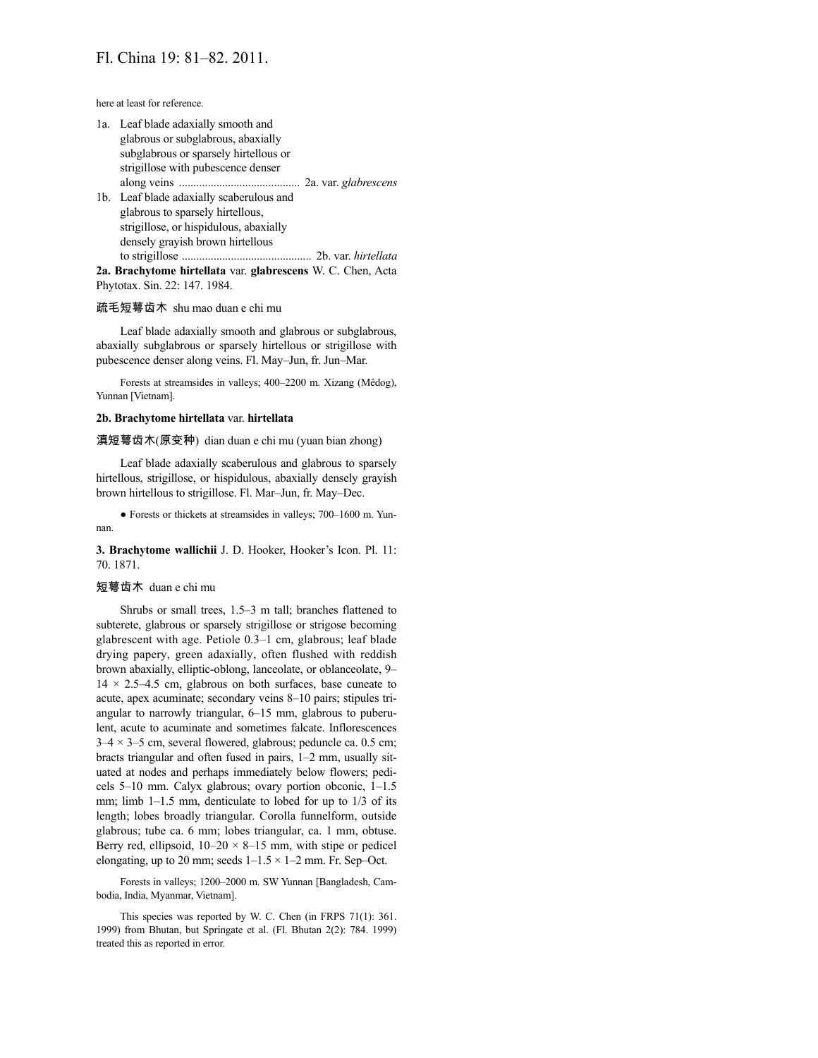here at least for reference.

- 1a. Leaf blade adaxially smooth and glabrous or subglabrous, abaxially subglabrous or sparsely hirtellous or strigillose with pubescence denser along veins .......................................... 2a. var. *glabrescens* 1b. Leaf blade adaxially scaberulous and
- glabrous to sparsely hirtellous, strigillose, or hispidulous, abaxially densely grayish brown hirtellous to strigillose ............................................. 2b. var. *hirtellata*

**2a. Brachytome hirtellata** var. **glabrescens** W. C. Chen, Acta Phytotax. Sin. 22: 147. 1984.

### 疏毛短萼齿木 shu mao duan e chi mu

Leaf blade adaxially smooth and glabrous or subglabrous, abaxially subglabrous or sparsely hirtellous or strigillose with pubescence denser along veins. Fl. May–Jun, fr. Jun–Mar.

Forests at streamsides in valleys; 400–2200 m. Xizang (Mêdog), Yunnan [Vietnam].

### **2b. Brachytome hirtellata** var. **hirtellata**

滇短萼齿木(原变种) dian duan e chi mu (yuan bian zhong)

Leaf blade adaxially scaberulous and glabrous to sparsely hirtellous, strigillose, or hispidulous, abaxially densely grayish brown hirtellous to strigillose. Fl. Mar–Jun, fr. May–Dec.

● Forests or thickets at streamsides in valleys; 700–1600 m. Yunnan.

**3. Brachytome wallichii** J. D. Hooker, Hooker's Icon. Pl. 11: 70. 1871.

### 短萼齿木 duan e chi mu

Shrubs or small trees, 1.5–3 m tall; branches flattened to subterete, glabrous or sparsely strigillose or strigose becoming glabrescent with age. Petiole 0.3–1 cm, glabrous; leaf blade drying papery, green adaxially, often flushed with reddish brown abaxially, elliptic-oblong, lanceolate, or oblanceolate, 9–  $14 \times 2.5 - 4.5$  cm, glabrous on both surfaces, base cuneate to acute, apex acuminate; secondary veins 8–10 pairs; stipules triangular to narrowly triangular, 6–15 mm, glabrous to puberulent, acute to acuminate and sometimes falcate. Inflorescences  $3-4 \times 3-5$  cm, several flowered, glabrous; peduncle ca. 0.5 cm; bracts triangular and often fused in pairs, 1–2 mm, usually situated at nodes and perhaps immediately below flowers; pedicels 5–10 mm. Calyx glabrous; ovary portion obconic, 1–1.5 mm; limb 1–1.5 mm, denticulate to lobed for up to 1/3 of its length; lobes broadly triangular. Corolla funnelform, outside glabrous; tube ca. 6 mm; lobes triangular, ca. 1 mm, obtuse. Berry red, ellipsoid,  $10-20 \times 8-15$  mm, with stipe or pedicel elongating, up to 20 mm; seeds  $1-1.5 \times 1-2$  mm. Fr. Sep-Oct.

Forests in valleys; 1200–2000 m. SW Yunnan [Bangladesh, Cambodia, India, Myanmar, Vietnam].

This species was reported by W. C. Chen (in FRPS 71(1): 361. 1999) from Bhutan, but Springate et al. (Fl. Bhutan 2(2): 784. 1999) treated this as reported in error.